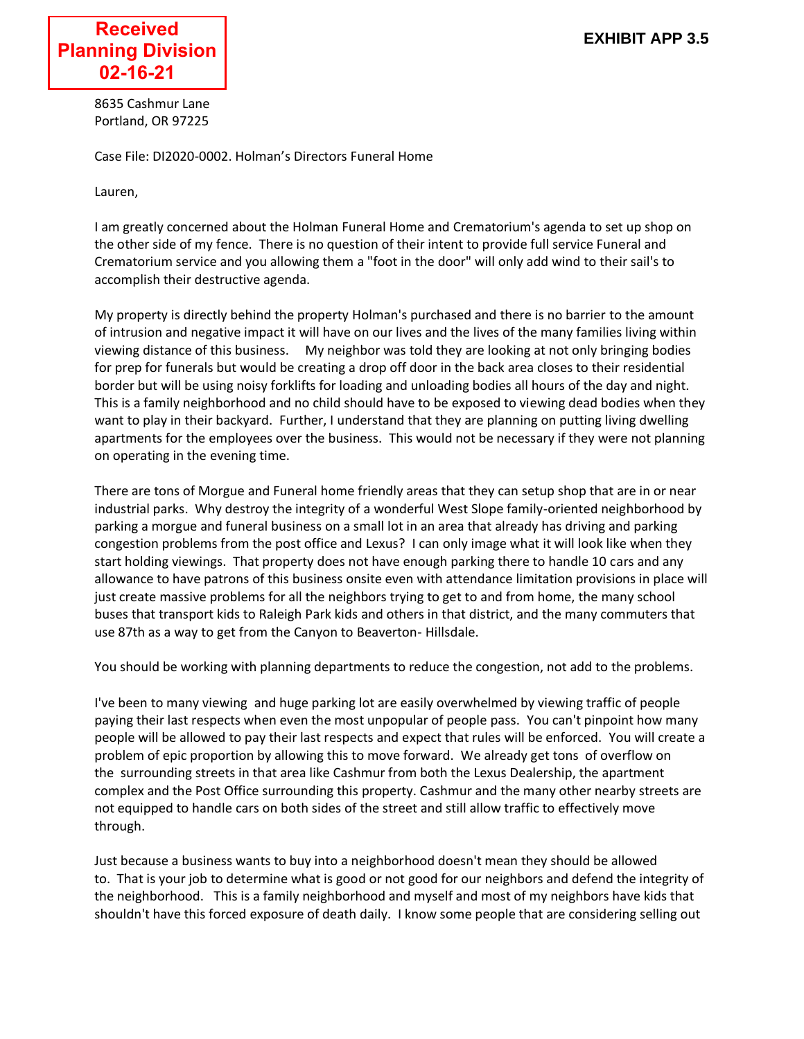

8635 Cashmur Lane Portland, OR 97225

Case File: DI2020-0002. Holman's Directors Funeral Home

Lauren,

I am greatly concerned about the Holman Funeral Home and Crematorium's agenda to set up shop on the other side of my fence. There is no question of their intent to provide full service Funeral and Crematorium service and you allowing them a "foot in the door" will only add wind to their sail's to accomplish their destructive agenda.

My property is directly behind the property Holman's purchased and there is no barrier to the amount of intrusion and negative impact it will have on our lives and the lives of the many families living within viewing distance of this business. My neighbor was told they are looking at not only bringing bodies for prep for funerals but would be creating a drop off door in the back area closes to their residential border but will be using noisy forklifts for loading and unloading bodies all hours of the day and night. This is a family neighborhood and no child should have to be exposed to viewing dead bodies when they want to play in their backyard. Further, I understand that they are planning on putting living dwelling apartments for the employees over the business. This would not be necessary if they were not planning on operating in the evening time.

There are tons of Morgue and Funeral home friendly areas that they can setup shop that are in or near industrial parks. Why destroy the integrity of a wonderful West Slope family-oriented neighborhood by parking a morgue and funeral business on a small lot in an area that already has driving and parking congestion problems from the post office and Lexus? I can only image what it will look like when they start holding viewings. That property does not have enough parking there to handle 10 cars and any allowance to have patrons of this business onsite even with attendance limitation provisions in place will just create massive problems for all the neighbors trying to get to and from home, the many school buses that transport kids to Raleigh Park kids and others in that district, and the many commuters that use 87th as a way to get from the Canyon to Beaverton- Hillsdale.

You should be working with planning departments to reduce the congestion, not add to the problems.

I've been to many viewing and huge parking lot are easily overwhelmed by viewing traffic of people paying their last respects when even the most unpopular of people pass. You can't pinpoint how many people will be allowed to pay their last respects and expect that rules will be enforced. You will create a problem of epic proportion by allowing this to move forward. We already get tons of overflow on the surrounding streets in that area like Cashmur from both the Lexus Dealership, the apartment complex and the Post Office surrounding this property. Cashmur and the many other nearby streets are not equipped to handle cars on both sides of the street and still allow traffic to effectively move through.

Just because a business wants to buy into a neighborhood doesn't mean they should be allowed to. That is your job to determine what is good or not good for our neighbors and defend the integrity of the neighborhood. This is a family neighborhood and myself and most of my neighbors have kids that shouldn't have this forced exposure of death daily. I know some people that are considering selling out